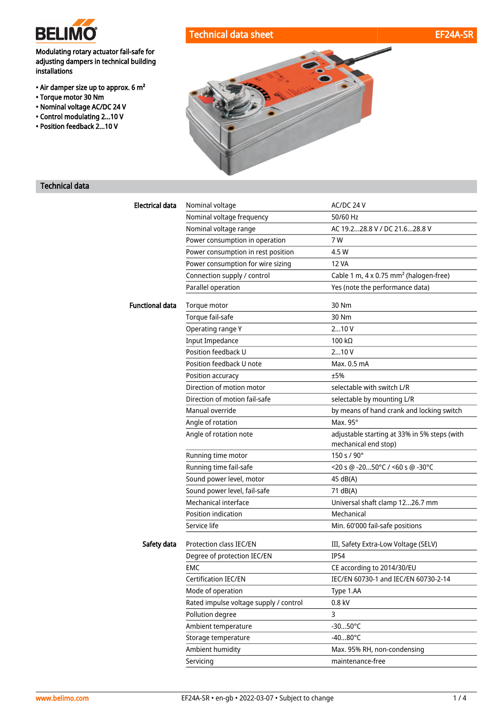

### Modulating rotary actuator fail-safe for adjusting dampers in technical building installations

- Air damper size up to approx. 6 m²
- Torque motor 30 Nm
- Nominal voltage AC/DC 24 V
- Control modulating 2...10 V
- Position feedback 2...10 V





# Technical data

| <b>Electrical data</b> | Nominal voltage                        | AC/DC 24 V                                                           |
|------------------------|----------------------------------------|----------------------------------------------------------------------|
|                        | Nominal voltage frequency              | 50/60 Hz                                                             |
|                        | Nominal voltage range                  | AC 19.228.8 V / DC 21.628.8 V                                        |
|                        | Power consumption in operation         | 7 W                                                                  |
|                        | Power consumption in rest position     | 4.5 W                                                                |
|                        | Power consumption for wire sizing      | 12 VA                                                                |
|                        | Connection supply / control            | Cable 1 m, 4 x 0.75 mm <sup>2</sup> (halogen-free)                   |
|                        | Parallel operation                     | Yes (note the performance data)                                      |
| <b>Functional data</b> | Torque motor                           | 30 Nm                                                                |
|                        | Torque fail-safe                       | 30 Nm                                                                |
|                        | Operating range Y                      | 210V                                                                 |
|                        | <b>Input Impedance</b>                 | 100 $k\Omega$                                                        |
|                        | Position feedback U                    | 210V                                                                 |
|                        | Position feedback U note               | Max. 0.5 mA                                                          |
|                        | Position accuracy                      | ±5%                                                                  |
|                        | Direction of motion motor              | selectable with switch L/R                                           |
|                        | Direction of motion fail-safe          | selectable by mounting L/R                                           |
|                        | Manual override                        | by means of hand crank and locking switch                            |
|                        | Angle of rotation                      | Max. 95°                                                             |
|                        | Angle of rotation note                 | adjustable starting at 33% in 5% steps (with<br>mechanical end stop) |
|                        | Running time motor                     | 150 s / 90°                                                          |
|                        | Running time fail-safe                 | <20 s @ -2050°C / <60 s @ -30°C                                      |
|                        | Sound power level, motor               | 45 dB(A)                                                             |
|                        | Sound power level, fail-safe           | 71 dB(A)                                                             |
|                        | Mechanical interface                   | Universal shaft clamp 1226.7 mm                                      |
|                        | Position indication                    | Mechanical                                                           |
|                        | Service life                           | Min. 60'000 fail-safe positions                                      |
| Safety data            | Protection class IEC/EN                | III, Safety Extra-Low Voltage (SELV)                                 |
|                        | Degree of protection IEC/EN            | <b>IP54</b>                                                          |
|                        | EMC                                    | CE according to 2014/30/EU                                           |
|                        | Certification IEC/EN                   | IEC/EN 60730-1 and IEC/EN 60730-2-14                                 |
|                        | Mode of operation                      | Type 1.AA                                                            |
|                        | Rated impulse voltage supply / control | 0.8 kV                                                               |
|                        | Pollution degree                       | 3                                                                    |
|                        | Ambient temperature                    | $-3050^{\circ}$ C                                                    |
|                        | Storage temperature                    | $-4080^{\circ}$ C                                                    |
|                        | Ambient humidity                       | Max. 95% RH, non-condensing                                          |
|                        | Servicing                              | maintenance-free                                                     |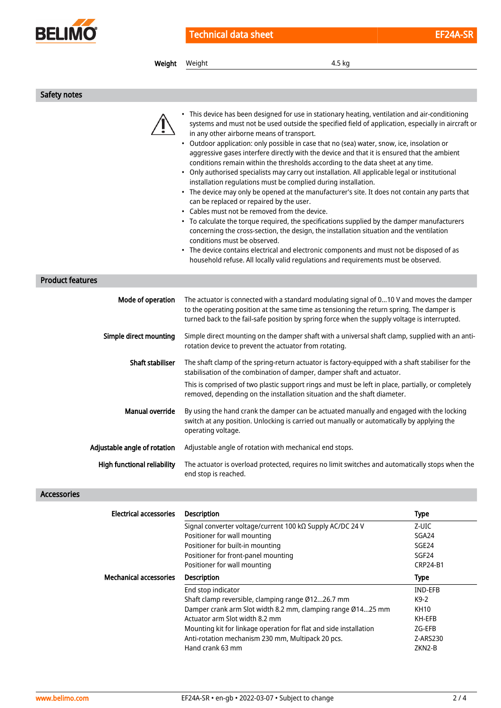

| Weight                       | 4.5 kg<br>Weight                                                                                                                                                                                                                                                                                                                                                                                                                                                                                                                                                                                                                                                                                                                                                                                                                                                                                                                                                                                                                                                                                                                                                                                                                                                                                                      |
|------------------------------|-----------------------------------------------------------------------------------------------------------------------------------------------------------------------------------------------------------------------------------------------------------------------------------------------------------------------------------------------------------------------------------------------------------------------------------------------------------------------------------------------------------------------------------------------------------------------------------------------------------------------------------------------------------------------------------------------------------------------------------------------------------------------------------------------------------------------------------------------------------------------------------------------------------------------------------------------------------------------------------------------------------------------------------------------------------------------------------------------------------------------------------------------------------------------------------------------------------------------------------------------------------------------------------------------------------------------|
| Safety notes                 |                                                                                                                                                                                                                                                                                                                                                                                                                                                                                                                                                                                                                                                                                                                                                                                                                                                                                                                                                                                                                                                                                                                                                                                                                                                                                                                       |
|                              | • This device has been designed for use in stationary heating, ventilation and air-conditioning<br>systems and must not be used outside the specified field of application, especially in aircraft or<br>in any other airborne means of transport.<br>• Outdoor application: only possible in case that no (sea) water, snow, ice, insolation or<br>aggressive gases interfere directly with the device and that it is ensured that the ambient<br>conditions remain within the thresholds according to the data sheet at any time.<br>• Only authorised specialists may carry out installation. All applicable legal or institutional<br>installation regulations must be complied during installation.<br>• The device may only be opened at the manufacturer's site. It does not contain any parts that<br>can be replaced or repaired by the user.<br>• Cables must not be removed from the device.<br>• To calculate the torque required, the specifications supplied by the damper manufacturers<br>concerning the cross-section, the design, the installation situation and the ventilation<br>conditions must be observed.<br>• The device contains electrical and electronic components and must not be disposed of as<br>household refuse. All locally valid regulations and requirements must be observed. |
| <b>Product features</b>      |                                                                                                                                                                                                                                                                                                                                                                                                                                                                                                                                                                                                                                                                                                                                                                                                                                                                                                                                                                                                                                                                                                                                                                                                                                                                                                                       |
| Mode of operation            | The actuator is connected with a standard modulating signal of 010 V and moves the damper<br>to the operating position at the same time as tensioning the return spring. The damper is<br>turned back to the fail-safe position by spring force when the supply voltage is interrupted.                                                                                                                                                                                                                                                                                                                                                                                                                                                                                                                                                                                                                                                                                                                                                                                                                                                                                                                                                                                                                               |
| Simple direct mounting       | Simple direct mounting on the damper shaft with a universal shaft clamp, supplied with an anti-<br>rotation device to prevent the actuator from rotating.                                                                                                                                                                                                                                                                                                                                                                                                                                                                                                                                                                                                                                                                                                                                                                                                                                                                                                                                                                                                                                                                                                                                                             |
| <b>Shaft stabiliser</b>      | The shaft clamp of the spring-return actuator is factory-equipped with a shaft stabiliser for the<br>stabilisation of the combination of damper, damper shaft and actuator.                                                                                                                                                                                                                                                                                                                                                                                                                                                                                                                                                                                                                                                                                                                                                                                                                                                                                                                                                                                                                                                                                                                                           |
|                              | This is comprised of two plastic support rings and must be left in place, partially, or completely<br>removed, depending on the installation situation and the shaft diameter.                                                                                                                                                                                                                                                                                                                                                                                                                                                                                                                                                                                                                                                                                                                                                                                                                                                                                                                                                                                                                                                                                                                                        |
| <b>Manual override</b>       | By using the hand crank the damper can be actuated manually and engaged with the locking<br>switch at any position. Unlocking is carried out manually or automatically by applying the<br>operating voltage.                                                                                                                                                                                                                                                                                                                                                                                                                                                                                                                                                                                                                                                                                                                                                                                                                                                                                                                                                                                                                                                                                                          |
| Adjustable angle of rotation | Adjustable angle of rotation with mechanical end stops.                                                                                                                                                                                                                                                                                                                                                                                                                                                                                                                                                                                                                                                                                                                                                                                                                                                                                                                                                                                                                                                                                                                                                                                                                                                               |
| High functional reliability  | The actuator is overload protected, requires no limit switches and automatically stops when the<br>end stop is reached.                                                                                                                                                                                                                                                                                                                                                                                                                                                                                                                                                                                                                                                                                                                                                                                                                                                                                                                                                                                                                                                                                                                                                                                               |

## Accessories

| <b>Electrical accessories</b> | <b>Description</b>                                                | <b>Type</b>       |
|-------------------------------|-------------------------------------------------------------------|-------------------|
|                               | Signal converter voltage/current 100 kΩ Supply AC/DC 24 V         | Z-UIC             |
|                               | Positioner for wall mounting                                      | SGA24             |
|                               | Positioner for built-in mounting                                  | SGE <sub>24</sub> |
|                               | Positioner for front-panel mounting                               | SGF <sub>24</sub> |
|                               | Positioner for wall mounting                                      | <b>CRP24-B1</b>   |
| <b>Mechanical accessories</b> | <b>Description</b>                                                | <b>Type</b>       |
|                               | End stop indicator                                                | <b>IND-EFB</b>    |
|                               | Shaft clamp reversible, clamping range Ø1226.7 mm                 | $K9-2$            |
|                               | Damper crank arm Slot width 8.2 mm, clamping range Ø1425 mm       | KH10              |
|                               | Actuator arm Slot width 8.2 mm                                    | KH-EFB            |
|                               | Mounting kit for linkage operation for flat and side installation | ZG-EFB            |
|                               | Anti-rotation mechanism 230 mm, Multipack 20 pcs.                 | Z-ARS230          |
|                               | Hand crank 63 mm                                                  | ZKN2-B            |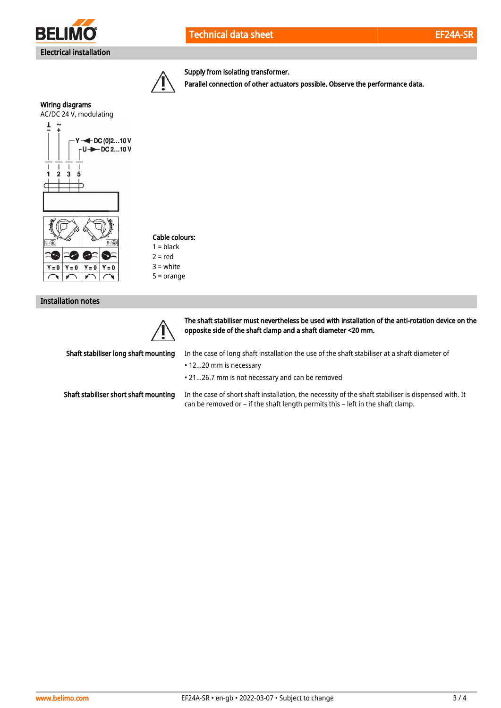



Supply from isolating transformer.

Parallel connection of other actuators possible. Observe the performance data.



Cable colours:

 $1 = **black**$  $2 = red$ 3 = white

5 = orange

Installation notes



The shaft stabiliser must nevertheless be used with installation of the anti-rotation device on the opposite side of the shaft clamp and a shaft diameter <20 mm.

Shaft stabiliser long shaft mounting

In the case of long shaft installation the use of the shaft stabiliser at a shaft diameter of

• 12...20 mm is necessary

• 21...26.7 mm is not necessary and can be removed

Shaft stabiliser short shaft mounting

In the case of short shaft installation, the necessity of the shaft stabiliser is dispensed with. It can be removed or – if the shaft length permits this – left in the shaft clamp.